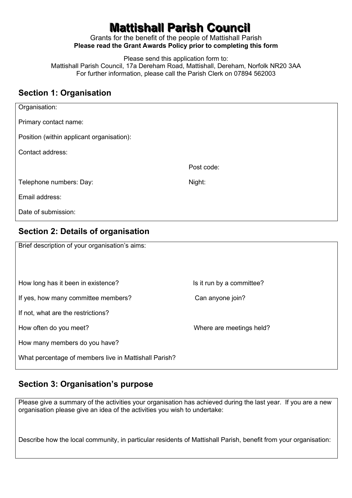# **Mattishall Parish Council**

Grants for the benefit of the people of Mattishall Parish **Please read the Grant Awards Policy prior to completing this form** 

Please send this application form to: Mattishall Parish Council, 17a Dereham Road, Mattishall, Dereham, Norfolk NR20 3AA For further information, please call the Parish Clerk on 07894 562003

#### **Section 1: Organisation**

| Organisation:                             |            |
|-------------------------------------------|------------|
| Primary contact name:                     |            |
| Position (within applicant organisation): |            |
| Contact address:                          |            |
|                                           | Post code: |
| Telephone numbers: Day:                   | Night:     |
| Email address:                            |            |
| Date of submission:                       |            |

## **Section 2: Details of organisation**

| Brief description of your organisation's aims:        |                           |
|-------------------------------------------------------|---------------------------|
| How long has it been in existence?                    | Is it run by a committee? |
| If yes, how many committee members?                   | Can anyone join?          |
| If not, what are the restrictions?                    |                           |
| How often do you meet?                                | Where are meetings held?  |
| How many members do you have?                         |                           |
| What percentage of members live in Mattishall Parish? |                           |

### **Section 3: Organisation's purpose**

Please give a summary of the activities your organisation has achieved during the last year. If you are a new organisation please give an idea of the activities you wish to undertake:

Describe how the local community, in particular residents of Mattishall Parish, benefit from your organisation: